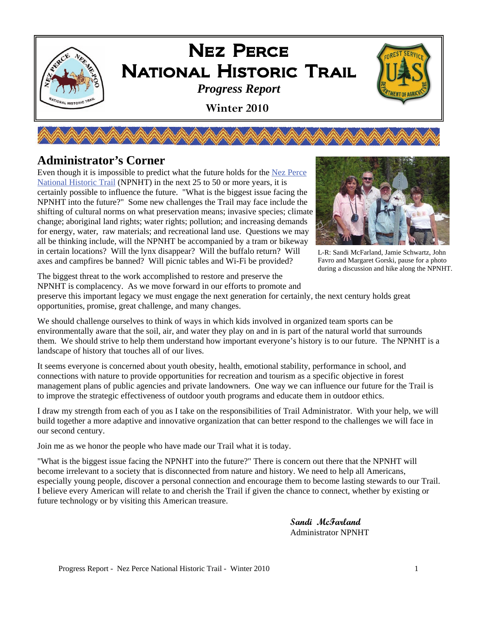

**AN MANA MANA MANA** 

### **Administrator's Corner**

Even though it is impossible to predict what the future holds for the [Nez Perce](http://www.fs.fed.us/npnht/)  [National Historic Trail](http://www.fs.fed.us/npnht/) (NPNHT) in the next 25 to 50 or more years, it is certainly possible to influence the future. "What is the biggest issue facing the NPNHT into the future?" Some new challenges the Trail may face include the shifting of cultural norms on what preservation means; invasive species; climate change; aboriginal land rights; water rights; pollution; and increasing demands for energy, water, raw materials; and recreational land use. Questions we may all be thinking include, will the NPNHT be accompanied by a tram or bikeway in certain locations? Will the lynx disappear? Will the buffalo return? Will axes and campfires be banned? Will picnic tables and Wi-Fi be provided?



L-R: Sandi McFarland, Jamie Schwartz, John Favro and Margaret Gorski, pause for a photo during a discussion and hike along the NPNHT.

The biggest threat to the work accomplished to restore and preserve the

NPNHT is complacency. As we move forward in our efforts to promote and preserve this important legacy we must engage the next generation for certainly, the next century holds great opportunities, promise, great challenge, and many changes.

We should challenge ourselves to think of ways in which kids involved in organized team sports can be environmentally aware that the soil, air, and water they play on and in is part of the natural world that surrounds them. We should strive to help them understand how important everyone's history is to our future. The NPNHT is a landscape of history that touches all of our lives.

It seems everyone is concerned about youth obesity, health, emotional stability, performance in school, and connections with nature to provide opportunities for recreation and tourism as a specific objective in forest management plans of public agencies and private landowners. One way we can influence our future for the Trail is to improve the strategic effectiveness of outdoor youth programs and educate them in outdoor ethics.

I draw my strength from each of you as I take on the responsibilities of Trail Administrator. With your help, we will build together a more adaptive and innovative organization that can better respond to the challenges we will face in our second century.

Join me as we honor the people who have made our Trail what it is today.

"What is the biggest issue facing the NPNHT into the future?" There is concern out there that the NPNHT will become irrelevant to a society that is disconnected from nature and history. We need to help all Americans, especially young people, discover a personal connection and encourage them to become lasting stewards to our Trail. I believe every American will relate to and cherish the Trail if given the chance to connect, whether by existing or future technology or by visiting this American treasure.

> **Sandi McFarland** Administrator NPNHT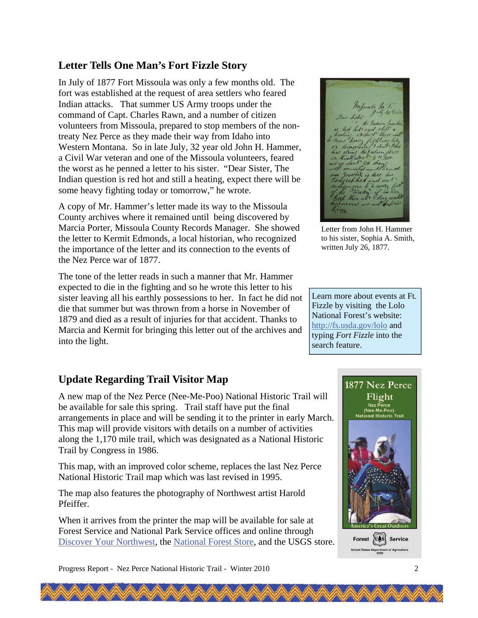## **Letter Tells One Man's Fort Fizzle Story**

In July of 1877 Fort Missoula was only a few months old. The fort was established at the request of area settlers who feared Indian attacks. That summer US Army troops under the command of Capt. Charles Rawn, and a number of citizen volunteers from Missoula, prepared to stop members of the nontreaty Nez Perce as they made their way from Idaho into Western Montana. So in late July, 32 year old John H. Hammer, a Civil War veteran and one of the Missoula volunteers, feared the worst as he penned a letter to his sister. "Dear Sister, The Indian question is red hot and still a heating, expect there will be some heavy fighting today or tomorrow," he wrote.

A copy of Mr. Hammer's letter made its way to the Missoula County archives where it remained until being discovered by Marcia Porter, Missoula County Records Manager. She showed the letter to Kermit Edmonds, a local historian, who recognized the importance of the letter and its connection to the events of the Nez Perce war of 1877.

The tone of the letter reads in such a manner that Mr. Hammer expected to die in the fighting and so he wrote this letter to his sister leaving all his earthly possessions to her. In fact he did not die that summer but was thrown from a horse in November of 1879 and died as a result of injuries for that accident. Thanks to Marcia and Kermit for bringing this letter out of the archives and into the light.

### **Update Regarding Trail Visitor Map**

A new map of the Nez Perce (Nee-Me-Poo) National Historic Trail will be available for sale this spring. Trail staff have put the final arrangements in place and will be sending it to the printer in early March. This map will provide visitors with details on a number of activities along the 1,170 mile trail, which was designated as a National Historic Trail by Congress in 1986.

This map, with an improved color scheme, replaces the last Nez Perce National Historic Trail map which was last revised in 1995.

The map also features the photography of Northwest artist Harold Pfeiffer.

When it arrives from the printer the map will be available for sale at Forest Service and National Park Service offices and online through [Discover Your Northwest](http://www.discovernw.org/), the [National Forest Store](http://www.nationalforeststore.com/), and the USGS store.

Letter from John H. Hammer to his sister, Sophia A. Smith, written July 26, 1877.

Learn more about events at Ft. Fizzle by visiting the Lolo National Forest's website: <http://fs.usda.gov/lolo> and typing *Fort Fizzle* into the search feature.

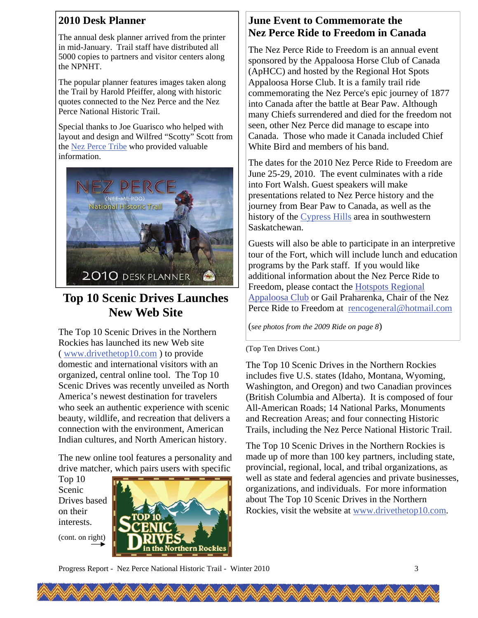### **2010 Desk Planner**

The annual desk planner arrived from the printer in mid-January. Trail staff have distributed all 5000 copies to partners and visitor centers along the NPNHT.

The popular planner features images taken along the Trail by Harold Pfeiffer, along with historic quotes connected to the Nez Perce and the Nez Perce National Historic Trail.

Special thanks to Joe Guarisco who helped with layout and design and Wilfred "Scotty" Scott from the [Nez Perce Tribe](http://www.nezperce.org/) who provided valuable information.



# **Top 10 Scenic Drives Launches New Web Site**

The Top 10 Scenic Drives in the Northern Rockies has launched its new Web site ( [www.drivethetop10.com](http://www.drivethetop10.com/) ) to provide domestic and international visitors with an organized, central online tool. The Top 10 Scenic Drives was recently unveiled as North America's newest destination for travelers who seek an authentic experience with scenic beauty, wildlife, and recreation that delivers a connection with the environment, American Indian cultures, and North American history.

The new online tool features a personality and drive matcher, which pairs users with specific

Top 10 Scenic Drives based on their interests.

(cont. on right)



## **June Event to Commemorate the Nez Perce Ride to Freedom in Canada**

The Nez Perce Ride to Freedom is an annual event sponsored by the Appaloosa Horse Club of Canada (ApHCC) and hosted by the Regional Hot Spots Appaloosa Horse Club. It is a family trail ride commemorating the Nez Perce's epic journey of 1877 into Canada after the battle at Bear Paw. Although many Chiefs surrendered and died for the freedom not seen, other Nez Perce did manage to escape into Canada. Those who made it Canada included Chief White Bird and members of his band.

The dates for the 2010 Nez Perce Ride to Freedom are June 25-29, 2010. The event culminates with a ride into Fort Walsh. Guest speakers will make presentations related to Nez Perce history and the journey from Bear Paw to Canada, as well as the history of the [Cypress Hills](http://www.cypresshills.com/) area in southwestern Saskatchewan.

Guests will also be able to participate in an interpretive tour of the Fort, which will include lunch and education programs by the Park staff. If you would like additional information about the Nez Perce Ride to Freedom, please contact the [Hotspots Regional](http://hotspotsregionalappaloosaclub.yolasite.com/nez-perce-trail-ride.php)  [Appaloosa Club](http://hotspotsregionalappaloosaclub.yolasite.com/nez-perce-trail-ride.php) or Gail Praharenka, Chair of the Nez Perce Ride to Freedom at [rencogeneral@hotmail.com](mailto:rencogeneral@hotmail.com)

(*see photos from the 2009 Ride on page 8*)

#### (Top Ten Drives Cont.)

The Top 10 Scenic Drives in the Northern Rockies includes five U.S. states (Idaho, Montana, Wyoming, Washington, and Oregon) and two Canadian provinces (British Columbia and Alberta). It is composed of four All-American Roads; 14 National Parks, Monuments and Recreation Areas; and four connecting Historic Trails, including the Nez Perce National Historic Trail.

The Top 10 Scenic Drives in the Northern Rockies is made up of more than 100 key partners, including state, provincial, regional, local, and tribal organizations, as well as state and federal agencies and private businesses, organizations, and individuals. For more information about The Top 10 Scenic Drives in the Northern Rockies, visit the website at [www.drivethetop10.com](http://www.drivethetop10.com/).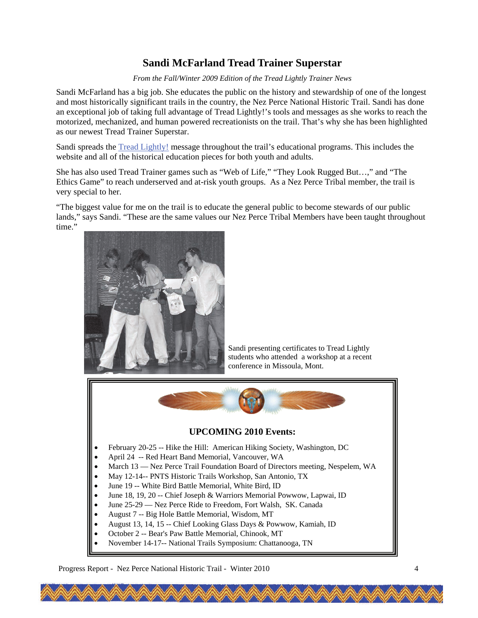## **Sandi McFarland Tread Trainer Superstar**

*From the Fall/Winter 2009 Edition of the Tread Lightly Trainer News* 

Sandi McFarland has a big job. She educates the public on the history and stewardship of one of the longest and most historically significant trails in the country, the Nez Perce National Historic Trail. Sandi has done an exceptional job of taking full advantage of Tread Lightly!'s tools and messages as she works to reach the motorized, mechanized, and human powered recreationists on the trail. That's why she has been highlighted as our newest Tread Trainer Superstar.

Sandi spreads the [Tread Lightly!](http://www.treadlightly.org/) message throughout the trail's educational programs. This includes the website and all of the historical education pieces for both youth and adults.

She has also used Tread Trainer games such as "Web of Life," "They Look Rugged But…," and "The Ethics Game" to reach underserved and at-risk youth groups. As a Nez Perce Tribal member, the trail is very special to her.

"The biggest value for me on the trail is to educate the general public to become stewards of our public lands," says Sandi. "These are the same values our Nez Perce Tribal Members have been taught throughout time."



August 13, 14, 15 -- Chief Looking Glass Days & Powwow, Kamiah, ID

- October 2 -- Bear's Paw Battle Memorial, Chinook, MT
- November 14-17-- National Trails Symposium: Chattanooga, TN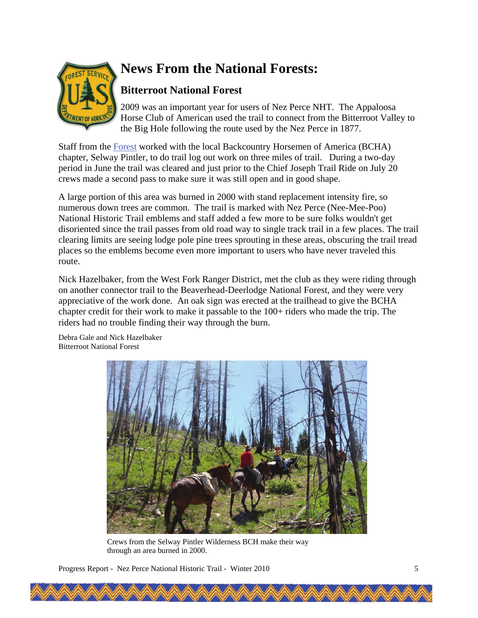

# **News From the National Forests:**

## **Bitterroot National Forest**

2009 was an important year for users of Nez Perce NHT. The Appaloosa Horse Club of American used the trail to connect from the Bitterroot Valley to the Big Hole following the route used by the Nez Perce in 1877.

Staff from the [Forest](http://www.fs.fed.us/r1/bitterroot/) worked with the local Backcountry Horsemen of America (BCHA) chapter, Selway Pintler, to do trail log out work on three miles of trail. During a two-day period in June the trail was cleared and just prior to the Chief Joseph Trail Ride on July 20 crews made a second pass to make sure it was still open and in good shape.

A large portion of this area was burned in 2000 with stand replacement intensity fire, so numerous down trees are common. The trail is marked with Nez Perce (Nee-Mee-Poo) National Historic Trail emblems and staff added a few more to be sure folks wouldn't get disoriented since the trail passes from old road way to single track trail in a few places. The trail clearing limits are seeing lodge pole pine trees sprouting in these areas, obscuring the trail tread places so the emblems become even more important to users who have never traveled this route.

Nick Hazelbaker, from the West Fork Ranger District, met the club as they were riding through on another connector trail to the Beaverhead-Deerlodge National Forest, and they were very appreciative of the work done. An oak sign was erected at the trailhead to give the BCHA chapter credit for their work to make it passable to the 100+ riders who made the trip. The riders had no trouble finding their way through the burn.

Debra Gale and Nick Hazelbaker Bitterroot National Forest



Crews from the Selway Pintler Wilderness BCH make their way through an area burned in 2000.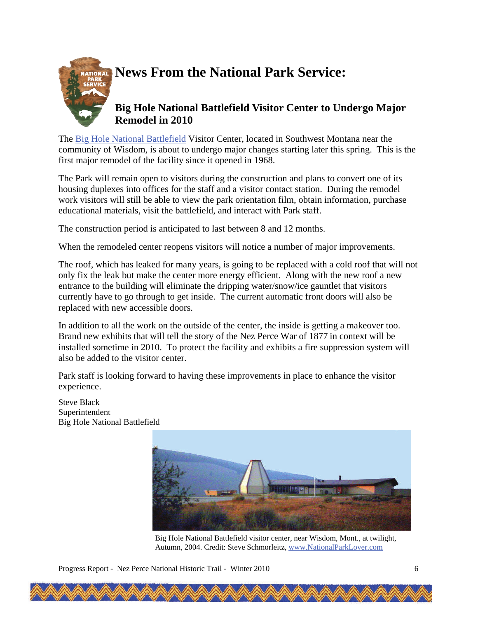

# **News From the National Park Service:**

### **Big Hole National Battlefield Visitor Center to Undergo Major Remodel in 2010**

The [Big Hole National Battlefield](http://www.nps.gov/biho/index.htm) Visitor Center, located in Southwest Montana near the community of Wisdom, is about to undergo major changes starting later this spring. This is the first major remodel of the facility since it opened in 1968.

The Park will remain open to visitors during the construction and plans to convert one of its housing duplexes into offices for the staff and a visitor contact station. During the remodel work visitors will still be able to view the park orientation film, obtain information, purchase educational materials, visit the battlefield, and interact with Park staff.

The construction period is anticipated to last between 8 and 12 months.

When the remodeled center reopens visitors will notice a number of major improvements.

The roof, which has leaked for many years, is going to be replaced with a cold roof that will not only fix the leak but make the center more energy efficient. Along with the new roof a new entrance to the building will eliminate the dripping water/snow/ice gauntlet that visitors currently have to go through to get inside. The current automatic front doors will also be replaced with new accessible doors.

In addition to all the work on the outside of the center, the inside is getting a makeover too. Brand new exhibits that will tell the story of the Nez Perce War of 1877 in context will be installed sometime in 2010. To protect the facility and exhibits a fire suppression system will also be added to the visitor center.

Park staff is looking forward to having these improvements in place to enhance the visitor experience.

Steve Black Superintendent Big Hole National Battlefield



Big Hole National Battlefield visitor center, near Wisdom, Mont., at twilight, Autumn, 2004. Credit: Steve Schmorleitz, [www.NationalParkLover.com](http://www.nationalparklover.com/)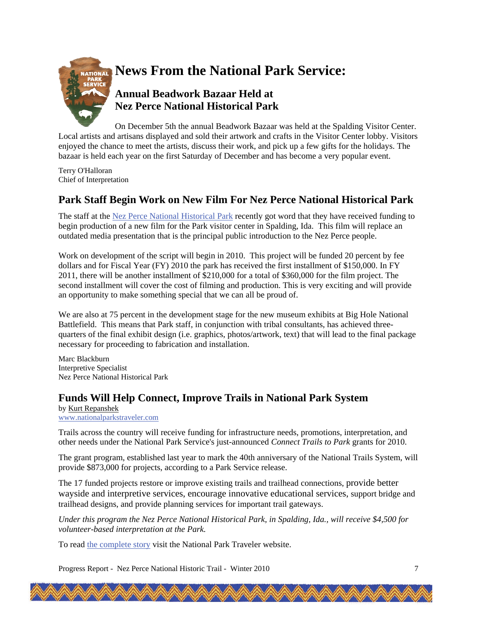

On December 5th the annual Beadwork Bazaar was held at the Spalding Visitor Center. Local artists and artisans displayed and sold their artwork and crafts in the Visitor Center lobby. Visitors enjoyed the chance to meet the artists, discuss their work, and pick up a few gifts for the holidays. The bazaar is held each year on the first Saturday of December and has become a very popular event.

Terry O'Halloran Chief of Interpretation

### **Park Staff Begin Work on New Film For Nez Perce National Historical Park**

The staff at the [Nez Perce National Historical Park](http://www.nps.gov/nepe/index.htm) recently got word that they have received funding to begin production of a new film for the Park visitor center in Spalding, Ida. This film will replace an outdated media presentation that is the principal public introduction to the Nez Perce people.

Work on development of the script will begin in 2010. This project will be funded 20 percent by fee dollars and for Fiscal Year (FY) 2010 the park has received the first installment of \$150,000. In FY 2011, there will be another installment of \$210,000 for a total of \$360,000 for the film project. The second installment will cover the cost of filming and production. This is very exciting and will provide an opportunity to make something special that we can all be proud of.

We are also at 75 percent in the development stage for the new museum exhibits at Big Hole National Battlefield. This means that Park staff, in conjunction with tribal consultants, has achieved threequarters of the final exhibit design (i.e. graphics, photos/artwork, text) that will lead to the final package necessary for proceeding to fabrication and installation.

Marc Blackburn Interpretive Specialist Nez Perce National Historical Park

### **Funds Will Help Connect, Improve Trails in National Park System**

by [Kurt Repanshek](http://www.nationalparkstraveler.com/users/repanshek) [www.nationalparkstraveler.com](http://www.nationalparkstraveler.com)

Trails across the country will receive funding for infrastructure needs, promotions, interpretation, and other needs under the National Park Service's just-announced *Connect Trails to Park* grants for 2010.

The grant program, established last year to mark the 40th anniversary of the National Trails System, will provide \$873,000 for projects, according to a Park Service release.

The 17 funded projects restore or improve existing trails and trailhead connections, provide better wayside and interpretive services, encourage innovative educational services, support bridge and trailhead designs, and provide planning services for important trail gateways.

*Under this program the Nez Perce National Historical Park, in Spalding, Ida., will receive \$4,500 for volunteer-based interpretation at the Park.* 

To read [the complete story](http://www.nationalparkstraveler.com/2009/12/nearly-900000-will-help-connect-improve-trails-national-park-system5014) visit the National Park Traveler website.